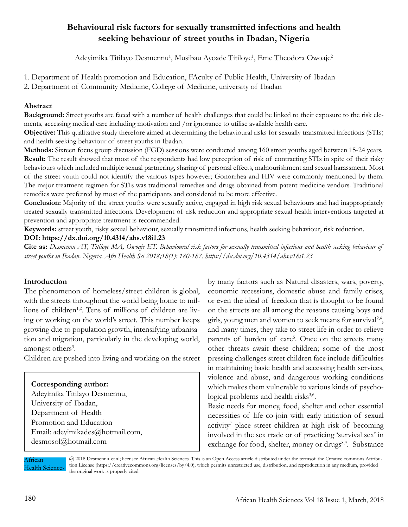# **Behavioural risk factors for sexually transmitted infections and health seeking behaviour of street youths in Ibadan, Nigeria**

Adeyimika Titilayo Desmennu<sup>1</sup>, Musibau Ayoade Titiloye<sup>1</sup>, Eme Theodora Owoaje<sup>2</sup>

1. Department of Health promotion and Education, FAculty of Public Health, University of Ibadan

2. Department of Community Medicine, College of Medicine, university of Ibadan

### **Abstract**

**Background:** Street youths are faced with a number of health challenges that could be linked to their exposure to the risk elements, accessing medical care including motivation and /or ignorance to utilise available health care.

**Objective:** This qualitative study therefore aimed at determining the behavioural risks for sexually transmitted infections (STIs) and health seeking behaviour of street youths in Ibadan.

**Methods:** Sixteen focus group discussion (FGD) sessions were conducted among 160 street youths aged between 15-24 years. **Result:** The result showed that most of the respondents had low perception of risk of contracting STIs in spite of their risky behaviours which included multiple sexual partnering, sharing of personal effects, malnourishment and sexual harassment. Most of the street youth could not identify the various types however; Gonorrhea and HIV were commonly mentioned by them. The major treatment regimen for STIs was traditional remedies and drugs obtained from patent medicine vendors. Traditional remedies were preferred by most of the participants and considered to be more effective.

**Conclusion:** Majority of the street youths were sexually active, engaged in high risk sexual behaviours and had inappropriately treated sexually transmitted infections. Development of risk reduction and appropriate sexual health interventions targeted at prevention and appropriate treatment is recommended.

**Keywords:** street youth, risky sexual behaviour, sexually transmitted infections, health seeking behaviour, risk reduction.

#### **DOI: https://dx.doi.org/10.4314/ahs.v18i1.23**

**Cite as:** *Desmennu AT, Titiloye MA, Owoaje ET. Behavioural risk factors for sexually transmitted infections and health seeking behaviour of street youths in Ibadan, Nigeria. Afri Health Sci 2018;18(1): 180-187. https://dx.doi.org/10.4314/ahs.v18i1.23*

#### **Introduction**

The phenomenon of homeless/street children is global, with the streets throughout the world being home to millions of children<sup>1,2</sup>. Tens of millions of children are living or working on the world's street. This number keeps growing due to population growth, intensifying urbanisation and migration, particularly in the developing world, amongst others<sup>3</sup>.

Children are pushed into living and working on the street

### **Corresponding author:**

Adeyimika Titilayo Desmennu, University of Ibadan, Department of Health Promotion and Education Email: adeyimikades@hotmail.com, desmosol@hotmail.com

by many factors such as Natural disasters, wars, poverty, economic recessions, domestic abuse and family crises, or even the ideal of freedom that is thought to be found on the streets are all among the reasons causing boys and girls, young men and women to seek means for survival<sup>2,4</sup>, and many times, they take to street life in order to relieve parents of burden of care<sup>5</sup>. Once on the streets many other threats await these children; some of the most pressing challenges street children face include difficulties in maintaining basic health and accessing health services, violence and abuse, and dangerous working conditions which makes them vulnerable to various kinds of psychological problems and health risks<sup>3,6</sup>.

Basic needs for money, food, shelter and other essential necessities of life co-join with early initiation of sexual activity<sup>7</sup> place street children at high risk of becoming involved in the sex trade or of practicing 'survival sex' in exchange for food, shelter, money or drugs<sup>8,9</sup>. Substance

African Health Sciences

@ 2018 Desmennu et al; licensee African Health Sciences. This is an Open Access article distributed under the termsof the Creative commons Attribution License (https://creativecommons.org/licenses/by/4.0), which permits unrestricted use, distribution, and reproduction in any medium, provided the original work is properly cited.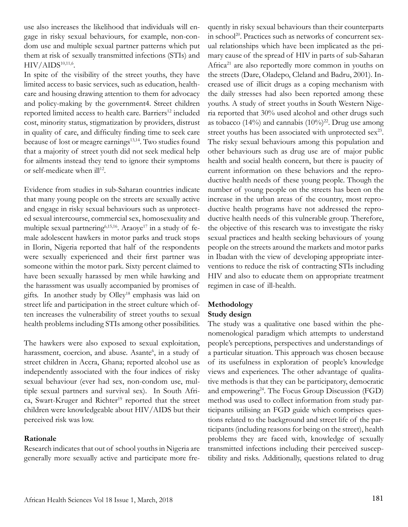use also increases the likelihood that individuals will engage in risky sexual behaviours, for example, non-condom use and multiple sexual partner patterns which put them at risk of sexually transmitted infections (STIs) and  $\rm HIV/AlDS^{10,11,6}.$ 

In spite of the visibility of the street youths, they have limited access to basic services, such as education, healthcare and housing drawing attention to them for advocacy and policy-making by the government4. Street children reported limited access to health care. Barriers<sup>12</sup> included cost, minority status, stigmatization by providers, distrust in quality of care, and difficulty finding time to seek care because of lost or meagre earnings<sup>13,14</sup>. Two studies found that a majority of street youth did not seek medical help for ailments instead they tend to ignore their symptoms or self-medicate when  $\mathrm{d} \mathbf{l}^{12}$ .

Evidence from studies in sub-Saharan countries indicate that many young people on the streets are sexually active and engage in risky sexual behaviours such as unprotected sexual intercourse, commercial sex, homosexuality and multiple sexual partnering<sup>6,15,16</sup>. Araoye<sup>17</sup> in a study of female adolescent hawkers in motor parks and truck stops in Ilorin, Nigeria reported that half of the respondents were sexually experienced and their first partner was someone within the motor park. Sixty percent claimed to have been sexually harassed by men while hawking and the harassment was usually accompanied by promises of gifts. In another study by Olley<sup>18</sup> emphasis was laid on street life and participation in the street culture which often increases the vulnerability of street youths to sexual health problems including STIs among other possibilities.

The hawkers were also exposed to sexual exploitation, harassment, coercion, and abuse. Asante<sup>6</sup>, in a study of street children in Accra, Ghana; reported alcohol use as independently associated with the four indices of risky sexual behaviour (ever had sex, non-condom use, multiple sexual partners and survival sex). In South Africa, Swart-Kruger and Richter<sup>19</sup> reported that the street children were knowledgeable about HIV/AIDS but their perceived risk was low.

### **Rationale**

Research indicates that out of school youths in Nigeria are generally more sexually active and participate more frequently in risky sexual behaviours than their counterparts in school<sup>20</sup>. Practices such as networks of concurrent sexual relationships which have been implicated as the primary cause of the spread of HIV in parts of sub-Saharan Africa<sup>21</sup> are also reportedly more common in youths on the streets (Dare, Oladepo, Cleland and Badru, 2001). Increased use of illicit drugs as a coping mechanism with the daily stresses had also been reported among these youths. A study of street youths in South Western Nigeria reported that 30% used alcohol and other drugs such as tobacco (14%) and cannabis (10%)<sup>22</sup>. Drug use among street youths has been associated with unprotected sex<sup>23</sup>. The risky sexual behaviours among this population and other behaviours such as drug use are of major public health and social health concern, but there is paucity of current information on these behaviors and the reproductive health needs of these young people. Though the number of young people on the streets has been on the increase in the urban areas of the country, most reproductive health programs have not addressed the reproductive health needs of this vulnerable group. Therefore, the objective of this research was to investigate the risky sexual practices and health seeking behaviours of young people on the streets around the markets and motor parks in Ibadan with the view of developing appropriate interventions to reduce the risk of contracting STIs including HIV and also to educate them on appropriate treatment regimen in case of ill-health.

### **Methodology**

### **Study design**

The study was a qualitative one based within the phenomenological paradigm which attempts to understand people's perceptions, perspectives and understandings of a particular situation. This approach was chosen because of its usefulness in exploration of people's knowledge views and experiences. The other advantage of qualitative methods is that they can be participatory, democratic and empowering<sup>24</sup>. The Focus Group Discussion (FGD) method was used to collect information from study participants utilising an FGD guide which comprises questions related to the background and street life of the participants (including reasons for being on the street), health problems they are faced with, knowledge of sexually transmitted infections including their perceived susceptibility and risks. Additionally, questions related to drug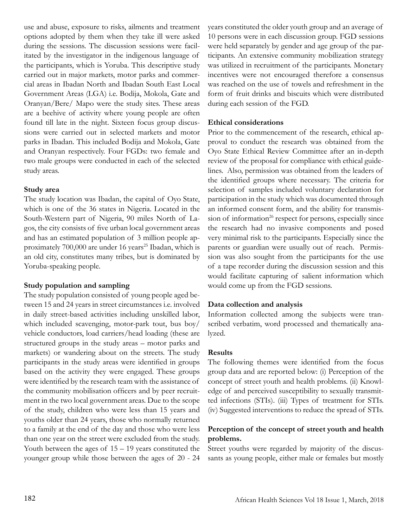use and abuse, exposure to risks, ailments and treatment options adopted by them when they take ill were asked during the sessions. The discussion sessions were facilitated by the investigator in the indigenous language of the participants, which is Yoruba. This descriptive study carried out in major markets, motor parks and commercial areas in Ibadan North and Ibadan South East Local Government Areas (LGA) i.e. Bodija, Mokola, Gate and Oranyan/Bere/ Mapo were the study sites. These areas are a beehive of activity where young people are often found till late in the night. Sixteen focus group discussions were carried out in selected markets and motor parks in Ibadan. This included Bodija and Mokola, Gate and Oranyan respectively. Four FGDs: two female and two male groups were conducted in each of the selected study areas.

### **Study area**

The study location was Ibadan, the capital of Oyo State, which is one of the 36 states in Nigeria. Located in the South-Western part of Nigeria, 90 miles North of Lagos, the city consists of five urban local government areas and has an estimated population of 3 million people approximately 700,000 are under 16 years<sup>25</sup> Ibadan, which is an old city, constitutes many tribes, but is dominated by Yoruba-speaking people.

### **Study population and sampling**

The study population consisted of young people aged between 15 and 24 years in street circumstances i.e. involved in daily street-based activities including unskilled labor, which included scavenging, motor-park tout, bus boy/ vehicle conductors, load carriers/head loading (these are structured groups in the study areas – motor parks and markets) or wandering about on the streets. The study participants in the study areas were identified in groups based on the activity they were engaged. These groups were identified by the research team with the assistance of the community mobilisation officers and by peer recruitment in the two local government areas. Due to the scope of the study, children who were less than 15 years and youths older than 24 years, those who normally returned to a family at the end of the day and those who were less than one year on the street were excluded from the study. Youth between the ages of  $15 - 19$  years constituted the younger group while those between the ages of 20 - 24

years constituted the older youth group and an average of 10 persons were in each discussion group. FGD sessions were held separately by gender and age group of the participants. An extensive community mobilization strategy was utilized in recruitment of the participants. Monetary incentives were not encouraged therefore a consensus was reached on the use of towels and refreshment in the form of fruit drinks and biscuits which were distributed during each session of the FGD.

# **Ethical considerations**

Prior to the commencement of the research, ethical approval to conduct the research was obtained from the Oyo State Ethical Review Committee after an in-depth review of the proposal for compliance with ethical guidelines. Also, permission was obtained from the leaders of the identified groups where necessary. The criteria for selection of samples included voluntary declaration for participation in the study which was documented through an informed consent form, and the ability for transmission of information $26$  respect for persons, especially since the research had no invasive components and posed very minimal risk to the participants. Especially since the parents or guardian were usually out of reach. Permission was also sought from the participants for the use of a tape recorder during the discussion session and this would facilitate capturing of salient information which would come up from the FGD sessions.

# **Data collection and analysis**

Information collected among the subjects were transcribed verbatim, word processed and thematically analyzed.

# **Results**

The following themes were identified from the focus group data and are reported below: (i) Perception of the concept of street youth and health problems. (ii) Knowledge of and perceived susceptibility to sexually transmitted infections (STIs). (iii) Types of treatment for STIs. (iv) Suggested interventions to reduce the spread of STIs.

## **Perception of the concept of street youth and health problems.**

Street youths were regarded by majority of the discussants as young people, either male or females but mostly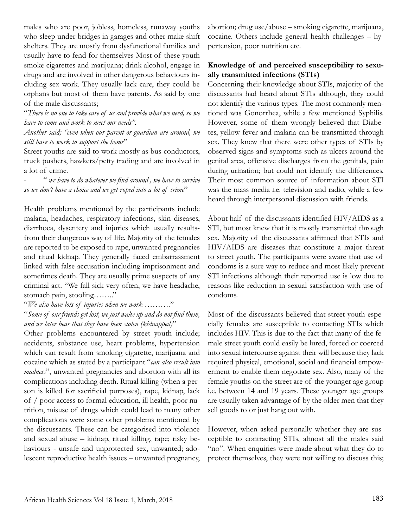males who are poor, jobless, homeless, runaway youths who sleep under bridges in garages and other make shift shelters. They are mostly from dysfunctional families and usually have to fend for themselves Most of these youth smoke cigarettes and marijuana; drink alcohol, engage in drugs and are involved in other dangerous behaviours including sex work. They usually lack care, they could be orphans but most of them have parents. As said by one of the male discussants;

"*There is no one to take care of us and provide what we need, so we have to come and work to meet our needs".*

*Another said; "even when our parent or guardian are around, we still have to work to support the home*"

Street youths are said to work mostly as bus conductors, truck pushers, hawkers/petty trading and are involved in a lot of crime.

- " *we have to do whatever we find around , we have to survive so we don't have a choice and we get roped into a lot of crime*"

Health problems mentioned by the participants include malaria, headaches, respiratory infections, skin diseases, diarrhoea, dysentery and injuries which usually resultsfrom their dangerous way of life. Majority of the females are reported to be exposed to rape, unwanted pregnancies and ritual kidnap. They generally faced embarrassment linked with false accusation including imprisonment and sometimes death. They are usually prime suspects of any criminal act. "We fall sick very often, we have headache, stomach pain, stooling…….."

"*We also have lots of injuries when we work ……….*"

"*Some of our friends get lost, we just wake up and do not find them, and we later hear that they have been stolen (kidnapped)*"

Other problems encountered by street youth include; accidents, substance use, heart problems, hypertension which can result from smoking cigarette, marijuana and cocaine which as stated by a participant "*can also result into madness*", unwanted pregnancies and abortion with all its complications including death. Ritual killing (when a person is killed for sacrificial purposes), rape, kidnap, lack of / poor access to formal education, ill health, poor nutrition, misuse of drugs which could lead to many other complications were some other problems mentioned by the discussants. These can be categorised into violence and sexual abuse – kidnap, ritual killing, rape; risky behaviours - unsafe and unprotected sex, unwanted; adolescent reproductive health issues – unwanted pregnancy, abortion; drug use/abuse – smoking cigarette, marijuana, cocaine. Others include general health challenges – hypertension, poor nutrition etc.

### **Knowledge of and perceived susceptibility to sexually transmitted infections (STIs)**

Concerning their knowledge about STIs, majority of the discussants had heard about STIs although, they could not identify the various types. The most commonly mentioned was Gonorrhea, while a few mentioned Syphilis. However, some of them wrongly believed that Diabetes, yellow fever and malaria can be transmitted through sex. They knew that there were other types of STIs by observed signs and symptoms such as ulcers around the genital area, offensive discharges from the genitals, pain during urination; but could not identify the differences. Their most common source of information about STI was the mass media i.e. television and radio, while a few heard through interpersonal discussion with friends.

About half of the discussants identified HIV/AIDS as a STI, but most knew that it is mostly transmitted through sex. Majority of the discussants affirmed that STIs and HIV/AIDS are diseases that constitute a major threat to street youth. The participants were aware that use of condoms is a sure way to reduce and most likely prevent STI infections although their reported use is low due to reasons like reduction in sexual satisfaction with use of condoms.

Most of the discussants believed that street youth especially females are susceptible to contacting STIs which includes HIV. This is due to the fact that many of the female street youth could easily be lured, forced or coerced into sexual intercourse against their will because they lack required physical, emotional, social and financial empowerment to enable them negotiate sex. Also, many of the female youths on the street are of the younger age group i.e. between 14 and 19 years. These younger age groups are usually taken advantage of by the older men that they sell goods to or just hang out with.

However, when asked personally whether they are susceptible to contracting STIs, almost all the males said "no". When enquiries were made about what they do to protect themselves, they were not willing to discuss this;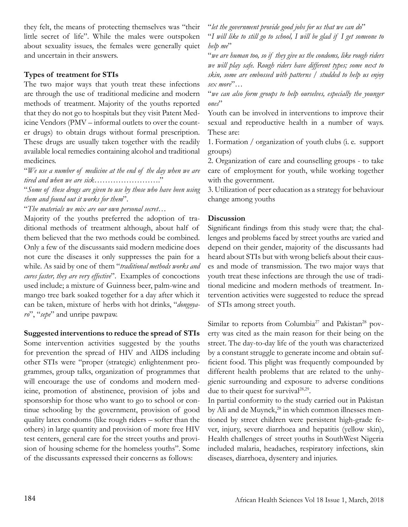they felt, the means of protecting themselves was "their little secret of life". While the males were outspoken about sexuality issues, the females were generally quiet and uncertain in their answers.

### **Types of treatment for STIs**

The two major ways that youth treat these infections are through the use of traditional medicine and modern methods of treatment. Majority of the youths reported that they do not go to hospitals but they visit Patent Medicine Vendors (PMV – informal outlets to over the counter drugs) to obtain drugs without formal prescription. These drugs are usually taken together with the readily available local remedies containing alcohol and traditional medicines.

"*We use a number of medicine at the end of the day when we are tired and when we are sick……………………*."

"*Some of these drugs are given to use by those who have been using them and found out it works for them*".

"*The materials we mix are our own personal secret*…

Majority of the youths preferred the adoption of traditional methods of treatment although, about half of them believed that the two methods could be combined. Only a few of the discussants said modern medicine does not cure the diseases it only suppresses the pain for a while. As said by one of them "*traditional methods works and cures faster, they are very effective*". Examples of concoctions used include; a mixture of Guinness beer, palm-wine and mango tree bark soaked together for a day after which it can be taken, mixture of herbs with hot drinks, "*dongoyaro*", "*sepe*" and unripe pawpaw.

**Suggested interventions to reduce the spread of STIs**

Some intervention activities suggested by the youths for prevention the spread of HIV and AIDS including other STIs were "proper (strategic) enlightenment programmes, group talks, organization of programmes that will encourage the use of condoms and modern medicine, promotion of abstinence, provision of jobs and sponsorship for those who want to go to school or continue schooling by the government, provision of good quality latex condoms (like rough riders – softer than the others) in large quantity and provision of more free HIV test centers, general care for the street youths and provision of housing scheme for the homeless youths". Some of the discussants expressed their concerns as follows:

"*let the government provide good jobs for us that we can do*"

"*I will like to still go to school, I will be glad if I get someone to help me*"

"*we are human too, so if they give us the condoms, like rough riders we will play safe. Rough riders have different types; some next to skin, some are embossed with patterns / studded to help us enjoy sex more*"…

"*we can also form groups to help ourselves, especially the younger ones*"

Youth can be involved in interventions to improve their sexual and reproductive health in a number of ways. These are:

1. Formation / organization of youth clubs (i. e. support groups)

2. Organization of care and counselling groups - to take care of employment for youth, while working together with the government.

3. Utilization of peer education as a strategy for behaviour change among youths

### **Discussion**

Significant findings from this study were that; the challenges and problems faced by street youths are varied and depend on their gender, majority of the discussants had heard about STIs but with wrong beliefs about their causes and mode of transmission. The two major ways that youth treat these infections are through the use of traditional medicine and modern methods of treatment. Intervention activities were suggested to reduce the spread of STIs among street youth.

Similar to reports from Columbia<sup>27</sup> and Pakistan<sup>28</sup> poverty was cited as the main reason for their being on the street. The day-to-day life of the youth was characterized by a constant struggle to generate income and obtain sufficient food. This plight was frequently compounded by different health problems that are related to the unhygienic surrounding and exposure to adverse conditions due to their quest for survival $28,29$ .

In partial conformity to the study carried out in Pakistan by Ali and de Muynck, $28$  in which common illnesses mentioned by street children were persistent high-grade fever, injury, severe diarrhoea and hepatitis (yellow skin), Health challenges of street youths in SouthWest Nigeria included malaria, headaches, respiratory infections, skin diseases, diarrhoea, dysentery and injuries.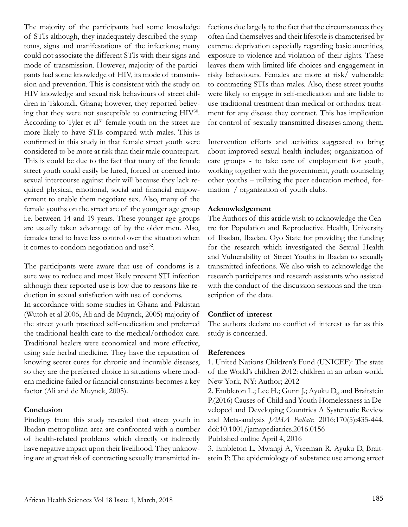The majority of the participants had some knowledge of STIs although, they inadequately described the symptoms, signs and manifestations of the infections; many could not associate the different STIs with their signs and mode of transmission. However, majority of the participants had some knowledge of HIV, its mode of transmission and prevention. This is consistent with the study on HIV knowledge and sexual risk behaviours of street children in Takoradi, Ghana; however, they reported believing that they were not susceptible to contracting HIV30. According to Tyler et  $al<sup>31</sup>$  female youth on the street are more likely to have STIs compared with males. This is confirmed in this study in that female street youth were considered to be more at risk than their male counterpart. This is could be due to the fact that many of the female street youth could easily be lured, forced or coerced into sexual intercourse against their will because they lack required physical, emotional, social and financial empowerment to enable them negotiate sex. Also, many of the female youths on the street are of the younger age group i.e. between 14 and 19 years. These younger age groups are usually taken advantage of by the older men. Also, females tend to have less control over the situation when it comes to condom negotiation and use $32$ .

The participants were aware that use of condoms is a sure way to reduce and most likely prevent STI infection although their reported use is low due to reasons like reduction in sexual satisfaction with use of condoms.

In accordance with some studies in Ghana and Pakistan (Wutoh et al 2006, Ali and de Muynck, 2005) majority of the street youth practiced self-medication and preferred the traditional health care to the medical/orthodox care. Traditional healers were economical and more effective, using safe herbal medicine. They have the reputation of knowing secret cures for chronic and incurable diseases, so they are the preferred choice in situations where modern medicine failed or financial constraints becomes a key factor (Ali and de Muynck, 2005).

### **Conclusion**

Findings from this study revealed that street youth in Ibadan metropolitan area are confronted with a number of health-related problems which directly or indirectly have negative impact upon their livelihood. They unknowing are at great risk of contracting sexually transmitted infections due largely to the fact that the circumstances they often find themselves and their lifestyle is characterised by extreme deprivation especially regarding basic amenities, exposure to violence and violation of their rights. These leaves them with limited life choices and engagement in risky behaviours. Females are more at risk/ vulnerable to contracting STIs than males. Also, these street youths were likely to engage in self-medication and are liable to use traditional treatment than medical or orthodox treatment for any disease they contract. This has implication for control of sexually transmitted diseases among them.

Intervention efforts and activities suggested to bring about improved sexual health includes; organization of care groups - to take care of employment for youth, working together with the government, youth counseling other youths – utilizing the peer education method, formation / organization of youth clubs.

### **Acknowledgement**

The Authors of this article wish to acknowledge the Centre for Population and Reproductive Health, University of Ibadan, Ibadan. Oyo State for providing the funding for the research which investigated the Sexual Health and Vulnerability of Street Youths in Ibadan to sexually transmitted infections. We also wish to acknowledge the research participants and research assistants who assisted with the conduct of the discussion sessions and the transcription of the data.

#### **Conflict of interest**

The authors declare no conflict of interest as far as this study is concerned.

#### **References**

1. United Nations Children's Fund (UNICEF): The state of the World's children 2012: children in an urban world. New York, NY: Author; 2012

2. Embleton L.; Lee H.; Gunn J.; Ayuku D,, and Braitstein P.(2016) Causes of Child and Youth Homelessness in Developed and Developing Countries A Systematic Review and Meta-analysis *JAMA Pediatr*. 2016;170(5):435-444. doi:10.1001/jamapediatrics.2016.0156

Published online April 4, 2016

3. Embleton L, Mwangi A, Vreeman R, Ayuku D, Braitstein P: The epidemiology of substance use among street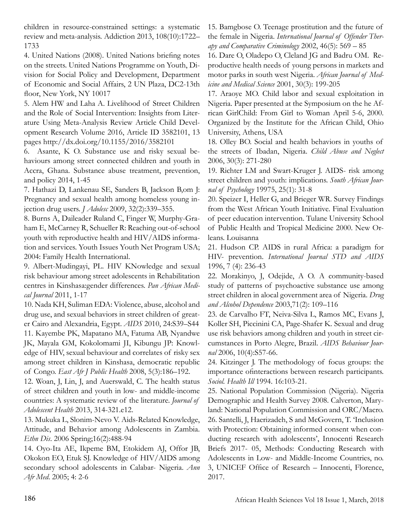children in resource-constrained settings: a systematic review and meta-analysis. Addiction 2013, 108(10):1722– 1733

4. United Nations (2008). United Nations briefing notes on the streets. United Nations Programme on Youth, Division for Social Policy and Development, Department of Economic and Social Affairs, 2 UN Plaza, DC2-13th floor, New York, NY 10017

5. Alem HW and Laha A. Livelihood of Street Children and the Role of Social Intervention: Insights from Literature Using Meta-Analysis Review Article Child Development Research Volume 2016, Article ID 3582101, 13 pages http://dx.doi.org/10.1155/2016/3582101

6. Asante, K O. Substance use and risky sexual behaviours among street connected children and youth in Accra, Ghana. Substance abuse treatment, prevention, and policy 2014, 1-45

7. Hathazi D, Lankenau SE, Sanders B, Jackson B,om J: Pregnancy and sexual health among homeless young injection drug users. *J Adolesc* 2009, 32(2):339–355.

8. Burns A, Daileader Ruland C, Finger W, Murphy-Graham E, McCarney R, Schueller R: Reaching out-of-school youth with reproductive health and HIV/AIDS information and services. Youth Issues Youth Net Program USA; 2004: Family Health International.

9. Albert-Mudingayi, PL. HIV KNowledge and sexual risk behaviour among street adolescents in Rehabilitation centres in Kinshasa:gender differences. *Pan African Medical Journal* 2011, 1-17

10. Nada KH, Suliman EDA: Violence, abuse, alcohol and drug use, and sexual behaviors in street children of greater Cairo and Alexandria, Egypt. *AIDS* 2010, 24:S39–S44 11. Kayembe PK, Mapatano MA, Fatuma AB, Nyandwe JK, Mayala GM, Kokolomami JI, Kibungu JP: Knowledge of HIV, sexual behaviour and correlates of risky sex among street children in Kinshasa, democratic republic of Congo. *East Afr J Public Health* 2008, 5(3):186–192.

12. Woan, J, Lin, J, and Auerswald, C. The health status of street children and youth in low- and middle-income countries: A systematic review of the literature. *Journal of Adolescent Health* 2013, 314-321.e12.

13. Mukuka L, Slonim-Nevo V. Aids-Related Knowledge, Attitude, and Behavior among Adolescents in Zambia. *Ethn Dis*. 2006 Spring;16(2):488-94

14. Oyo-Ita AE, Ikpeme BM, Etokidem AJ, Offor JB, Okokon EO, Etuk SJ. Knowledge of HIV/AIDS among secondary school adolescents in Calabar- Nigeria. *Ann Afr Med*. 2005; 4: 2-6

15. Bamgbose O. Teenage prostitution and the future of the female in Nigeria. *International Journal of Offender Therapy and Comparative Criminology* 2002, 46(5): 569 – 85

16. Dare O, Oladepo O, Cleland JG and Badru OM. Reproductive health needs of young persons in markets and motor parks in south west Nigeria. *African Journal of Medicine and Medical Science* 2001, 30(3): 199-205

17. Araoye MO. Child labor and sexual exploitation in Nigeria. Paper presented at the Symposium on the he African GirlChild: From Girl to Woman April 5-6, 2000. Organized by the Institute for the African Child, Ohio University, Athens, USA

18. Olley BO. Social and health behaviors in youths of the streets of Ibadan, Nigeria. *Child Abuse and Neglect*  2006, 30(3): 271-280

19. Richter LM and Swart-Kruger J. AIDS- risk among street children and youth: implications. *South African Journal of Psychology* 19975, 25(1): 31-8

20. Speizer I, Heller G, and Brieger WR. Survey Findings from the West African Youth Initiative. Final Evaluation of peer education intervention. Tulane University School of Public Health and Tropical Medicine 2000. New Orleans. Louisanna

21. Hudson CP. AIDS in rural Africa: a paradigm for HIV- prevention. *International Journal STD and AIDS*  1996, 7 (4): 236-43

22. Morakinyo, J, Odejide, A O. A community-based study of patterns of psychoactive substance use among street children in alocal government area of Nigeria. *Drug and Alcohol Dependence* 2003,71(2): 109–116

23. de Carvalho FT, Neiva-Silva L, Ramos MC, Evans J, Koller SH, Piccinini CA, Page-Shafer K. Sexual and drug use risk behaviors among children and youth in street circumstances in Porto Alegre, Brazil. *AIDS Behaviour Journal* 2006, 10(4):S57-66.

24. Kitzinger J. The methodology of focus groups: the importance ofinteractions between research participants. *Sociol. Health Ill* 1994. 16:103-21.

25. National Population Commission (Nigeria). Nigeria Demographic and Health Survey 2008. Calverton, Maryland: National Population Commission and ORC/Macro. 26. Santelli, J, Haerizadeh, S and McGovern, T. 'Inclusion with Protection: Obtaining informed consent when conducting research with adolescents', Innocenti Research Briefs 2017- 05, Methods: Conducting Research with Adolescents in Low- and Middle-Income Countries, no. 3, UNICEF Office of Research – Innocenti, Florence, 2017.